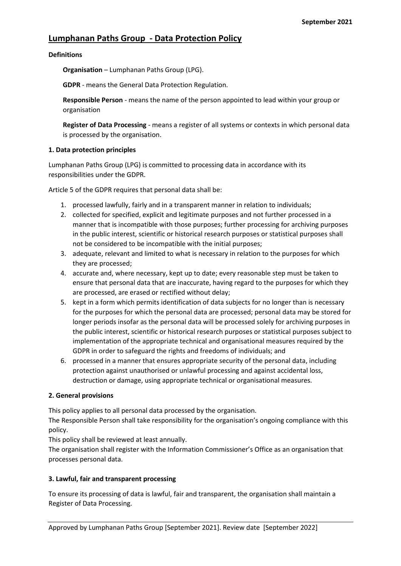# **Lumphanan Paths Group - Data Protection Policy**

### **Definitions**

**Organisation** – Lumphanan Paths Group (LPG).

**GDPR** - means the General Data Protection Regulation.

**Responsible Person** - means the name of the person appointed to lead within your group or organisation

**Register of Data Processing** - means a register of all systems or contexts in which personal data is processed by the organisation.

### **1. Data protection principles**

Lumphanan Paths Group (LPG) is committed to processing data in accordance with its responsibilities under the GDPR.

Article 5 of the GDPR requires that personal data shall be:

- 1. processed lawfully, fairly and in a transparent manner in relation to individuals;
- 2. collected for specified, explicit and legitimate purposes and not further processed in a manner that is incompatible with those purposes; further processing for archiving purposes in the public interest, scientific or historical research purposes or statistical purposes shall not be considered to be incompatible with the initial purposes;
- 3. adequate, relevant and limited to what is necessary in relation to the purposes for which they are processed;
- 4. accurate and, where necessary, kept up to date; every reasonable step must be taken to ensure that personal data that are inaccurate, having regard to the purposes for which they are processed, are erased or rectified without delay;
- 5. kept in a form which permits identification of data subjects for no longer than is necessary for the purposes for which the personal data are processed; personal data may be stored for longer periods insofar as the personal data will be processed solely for archiving purposes in the public interest, scientific or historical research purposes or statistical purposes subject to implementation of the appropriate technical and organisational measures required by the GDPR in order to safeguard the rights and freedoms of individuals; and
- 6. processed in a manner that ensures appropriate security of the personal data, including protection against unauthorised or unlawful processing and against accidental loss, destruction or damage, using appropriate technical or organisational measures.

## **2. General provisions**

This policy applies to all personal data processed by the organisation.

The Responsible Person shall take responsibility for the organisation's ongoing compliance with this policy.

This policy shall be reviewed at least annually.

The organisation shall register with the Information Commissioner's Office as an organisation that processes personal data.

## **3. Lawful, fair and transparent processing**

To ensure its processing of data is lawful, fair and transparent, the organisation shall maintain a Register of Data Processing.